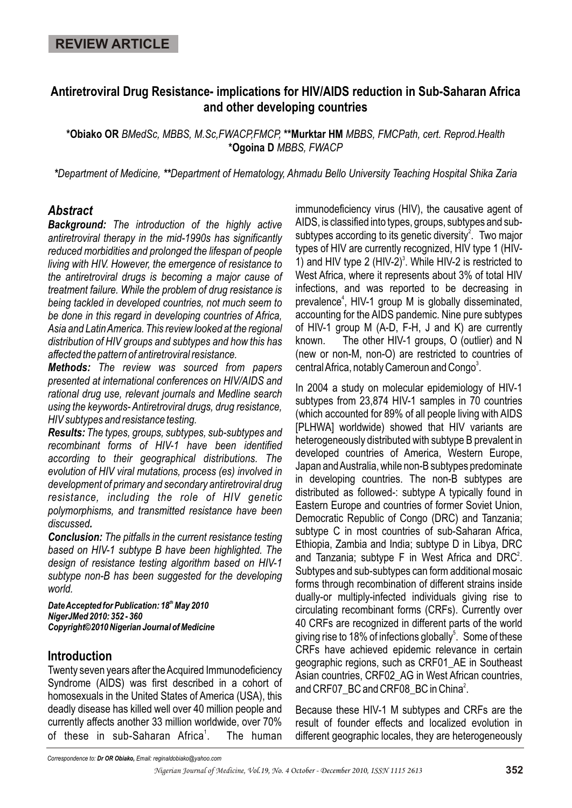# **Antiretroviral Drug Resistance- implications for HIV/AIDS reduction in Sub-Saharan Africa and other developing countries**

**\*Obiako OR** *BMedSc, MBBS, M.Sc,FWACP,FMCP,* **\*\*Murktar HM** *MBBS, FMCPath, cert. Reprod.Health*  **\*Ogoina D** *MBBS, FWACP*

*\*Department of Medicine, \*\*Department of Hematology, Ahmadu Bello University Teaching Hospital Shika Zaria*

### *Abstract*

*Background: The introduction of the highly active antiretroviral therapy in the mid-1990s has significantly reduced morbidities and prolonged the lifespan of people living with HIV. However, the emergence of resistance to the antiretroviral drugs is becoming a major cause of treatment failure. While the problem of drug resistance is being tackled in developed countries, not much seem to be done in this regard in developing countries of Africa, Asia and Latin America. This review looked at the regional distribution of HIV groups and subtypes and how this has affected the pattern of antiretroviral resistance.* 

*Methods: The review was sourced from papers presented at international conferences on HIV/AIDS and rational drug use, relevant journals and Medline search using the keywords- Antiretroviral drugs, drug resistance, HIV subtypes and resistance testing.*

*Results: The types, groups, subtypes, sub-subtypes and recombinant forms of HIV-1 have been identified according to their geographical distributions. The evolution of HIV viral mutations, process (es) involved in development of primary and secondary antiretroviral drug resistance, including the role of HIV genetic polymorphisms, and transmitted resistance have been discussed.* 

*Conclusion: The pitfalls in the current resistance testing based on HIV-1 subtype B have been highlighted. The design of resistance testing algorithm based on HIV-1 subtype non-B has been suggested for the developing world.*

**Date Accepted for Publication: 18<sup>th</sup> May 2010** *NigerJMed 2010: 352 - 360 Copyright©2010 Nigerian Journal of Medicine*

### **Introduction**

Twenty seven years after the Acquired Immunodeficiency Syndrome (AIDS) was first described in a cohort of homosexuals in the United States of America (USA), this deadly disease has killed well over 40 million people and currently affects another 33 million worldwide, over 70% of these in sub-Saharan Africa<sup>1</sup>. The human immunodeficiency virus (HIV), the causative agent of AIDS, is classified into types, groups, subtypes and subsubtypes according to its genetic diversity<sup>2</sup>. Two major types of HIV are currently recognized, HIV type 1 (HIV-1) and HIV type 2 (HIV-2)<sup>3</sup>. While HIV-2 is restricted to West Africa, where it represents about 3% of total HIV infections, and was reported to be decreasing in prevalence<sup>4</sup>, HIV-1 group M is globally disseminated, accounting for the AIDS pandemic. Nine pure subtypes of HIV-1 group M (A-D, F-H, J and K) are currently known. The other HIV-1 groups, O (outlier) and N (new or non-M, non-O) are restricted to countries of central Africa, notably Cameroun and Congo<sup>3</sup>.

In 2004 a study on molecular epidemiology of HIV-1 subtypes from 23,874 HIV-1 samples in 70 countries (which accounted for 89% of all people living with AIDS [PLHWA] worldwide) showed that HIV variants are heterogeneously distributed with subtype B prevalent in developed countries of America, Western Europe, Japan and Australia, while non-B subtypes predominate in developing countries. The non-B subtypes are distributed as followed-: subtype A typically found in Eastern Europe and countries of former Soviet Union, Democratic Republic of Congo (DRC) and Tanzania; subtype C in most countries of sub-Saharan Africa, Ethiopia, Zambia and India; subtype D in Libya, DRC and Tanzania; subtype F in West Africa and DRC<sup>2</sup>. Subtypes and sub-subtypes can form additional mosaic forms through recombination of different strains inside dually-or multiply-infected individuals giving rise to circulating recombinant forms (CRFs). Currently over 40 CRFs are recognized in different parts of the world giving rise to 18% of infections globally<sup>5</sup>. Some of these CRFs have achieved epidemic relevance in certain geographic regions, such as CRF01\_AE in Southeast Asian countries, CRF02\_AG in West African countries, and CRF07\_BC and CRF08\_BC in China<sup>2</sup>.

Because these HIV-1 M subtypes and CRFs are the result of founder effects and localized evolution in different geographic locales, they are heterogeneously

*Correspondence to: Dr OR Obiako, Email: reginaldobiako@yahoo.com*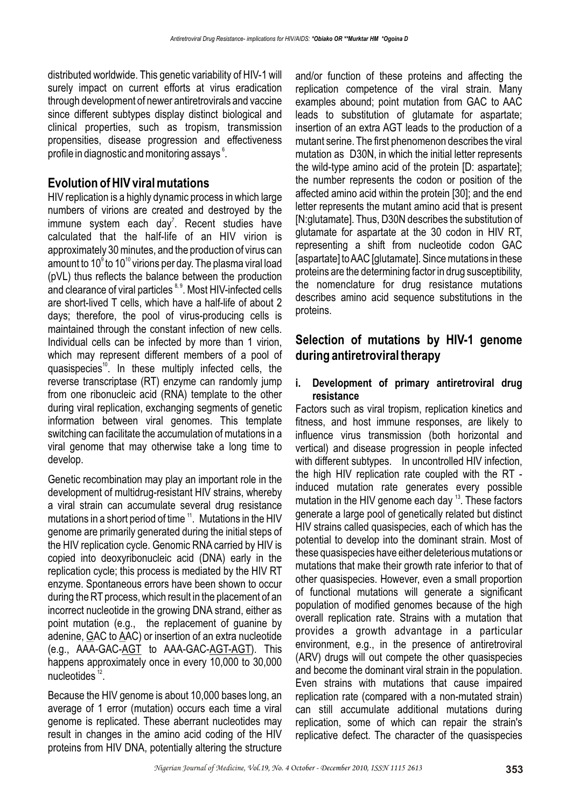distributed worldwide. This genetic variability of HIV-1 will surely impact on current efforts at virus eradication through development of newer antiretrovirals and vaccine since different subtypes display distinct biological and clinical properties, such as tropism, transmission propensities, disease progression and effectiveness profile in diagnostic and monitoring assays $\degree$ .

### **Evolution of HIV viral mutations**

HIV replication is a highly dynamic process in which large numbers of virions are created and destroyed by the immune system each day<sup>7</sup>. Recent studies have calculated that the half-life of an HIV virion is approximately 30 minutes, and the production of virus can amount to 10 $^{\circ}$  to 10 $^{\circ}$  virions per day. The plasma viral load (pVL) thus reflects the balance between the production and clearance of viral particles <sup>8, 9</sup>. Most HIV-infected cells are short-lived T cells, which have a half-life of about 2 days; therefore, the pool of virus-producing cells is maintained through the constant infection of new cells. Individual cells can be infected by more than 1 virion, which may represent different members of a pool of quasispecies<sup> $10$ </sup>. In these multiply infected cells, the reverse transcriptase (RT) enzyme can randomly jump from one ribonucleic acid (RNA) template to the other during viral replication, exchanging segments of genetic information between viral genomes. This template switching can facilitate the accumulation of mutations in a viral genome that may otherwise take a long time to develop.

Genetic recombination may play an important role in the development of multidrug-resistant HIV strains, whereby a viral strain can accumulate several drug resistance mutations in a short period of time  $11$ . Mutations in the HIV genome are primarily generated during the initial steps of the HIV replication cycle. Genomic RNA carried by HIV is copied into deoxyribonucleic acid (DNA) early in the replication cycle; this process is mediated by the HIV RT enzyme. Spontaneous errors have been shown to occur during the RT process, which result in the placement of an incorrect nucleotide in the growing DNA strand, either as point mutation (e.g., the replacement of guanine by adenine, GAC to AAC) or insertion of an extra nucleotide (e.g., AAA-GAC-AGT to AAA-GAC-AGT-AGT). This happens approximately once in every 10,000 to 30,000 nucleotides  $12$ .

Because the HIV genome is about 10,000 bases long, an average of 1 error (mutation) occurs each time a viral genome is replicated. These aberrant nucleotides may result in changes in the amino acid coding of the HIV proteins from HIV DNA, potentially altering the structure

and/or function of these proteins and affecting the replication competence of the viral strain. Many examples abound; point mutation from GAC to AAC leads to substitution of glutamate for aspartate; insertion of an extra AGT leads to the production of a mutant serine. The first phenomenon describes the viral mutation as D30N, in which the initial letter represents the wild-type amino acid of the protein [D: aspartate]; the number represents the codon or position of the affected amino acid within the protein [30]; and the end letter represents the mutant amino acid that is present [N:glutamate]. Thus, D30N describes the substitution of glutamate for aspartate at the 30 codon in HIV RT, representing a shift from nucleotide codon GAC [aspartate] to AAC [glutamate]. Since mutations in these proteins are the determining factor in drug susceptibility, the nomenclature for drug resistance mutations describes amino acid sequence substitutions in the proteins.

### **Selection of mutations by HIV-1 genome during antiretroviral therapy**

#### **i. Development of primary antiretroviral drug resistance**

Factors such as viral tropism, replication kinetics and fitness, and host immune responses, are likely to influence virus transmission (both horizontal and vertical) and disease progression in people infected with different subtypes. In uncontrolled HIV infection, the high HIV replication rate coupled with the RT induced mutation rate generates every possible mutation in the HIV genome each day  $13$ . These factors generate a large pool of genetically related but distinct HIV strains called quasispecies, each of which has the potential to develop into the dominant strain. Most of these quasispecies have either deleterious mutations or mutations that make their growth rate inferior to that of other quasispecies. However, even a small proportion of functional mutations will generate a significant population of modified genomes because of the high overall replication rate. Strains with a mutation that provides a growth advantage in a particular environment, e.g., in the presence of antiretroviral (ARV) drugs will out compete the other quasispecies and become the dominant viral strain in the population. Even strains with mutations that cause impaired replication rate (compared with a non-mutated strain) can still accumulate additional mutations during replication, some of which can repair the strain's replicative defect. The character of the quasispecies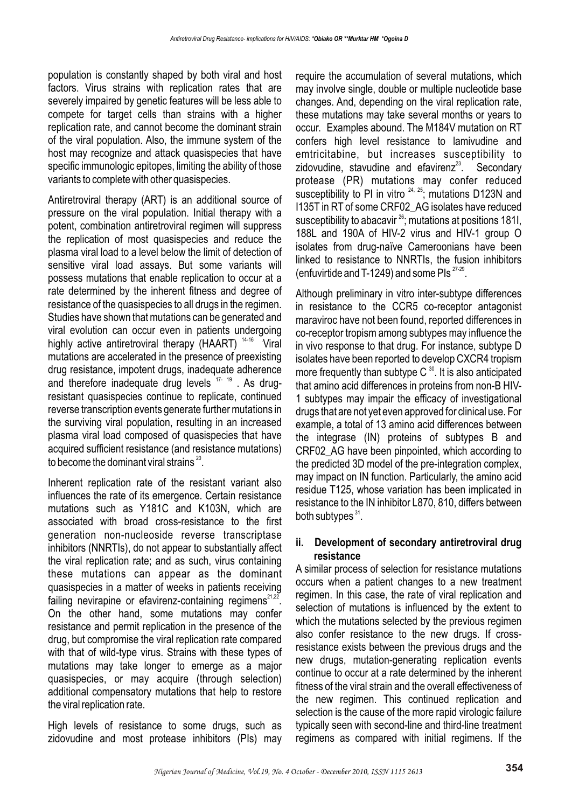population is constantly shaped by both viral and host factors. Virus strains with replication rates that are severely impaired by genetic features will be less able to compete for target cells than strains with a higher replication rate, and cannot become the dominant strain of the viral population. Also, the immune system of the host may recognize and attack quasispecies that have specific immunologic epitopes, limiting the ability of those variants to complete with other quasispecies.

Antiretroviral therapy (ART) is an additional source of pressure on the viral population. Initial therapy with a potent, combination antiretroviral regimen will suppress the replication of most quasispecies and reduce the plasma viral load to a level below the limit of detection of sensitive viral load assays. But some variants will possess mutations that enable replication to occur at a rate determined by the inherent fitness and degree of resistance of the quasispecies to all drugs in the regimen. Studies have shown that mutations can be generated and viral evolution can occur even in patients undergoing highly active antiretroviral therapy (HAART)<sup>14-16</sup> Viral mutations are accelerated in the presence of preexisting drug resistance, impotent drugs, inadequate adherence and therefore inadequate drug levels  $17-19$ . As drugresistant quasispecies continue to replicate, continued reverse transcription events generate further mutations in the surviving viral population, resulting in an increased plasma viral load composed of quasispecies that have acquired sufficient resistance (and resistance mutations) to become the dominant viral strains  $^{20}$ .

Inherent replication rate of the resistant variant also influences the rate of its emergence. Certain resistance mutations such as Y181C and K103N, which are associated with broad cross-resistance to the first generation non-nucleoside reverse transcriptase inhibitors (NNRTIs), do not appear to substantially affect the viral replication rate; and as such, virus containing these mutations can appear as the dominant quasispecies in a matter of weeks in patients receiving failing nevirapine or efavirenz-containing regimens<sup>21,22</sup>. On the other hand, some mutations may confer resistance and permit replication in the presence of the drug, but compromise the viral replication rate compared with that of wild-type virus. Strains with these types of mutations may take longer to emerge as a major quasispecies, or may acquire (through selection) additional compensatory mutations that help to restore the viral replication rate.

High levels of resistance to some drugs, such as zidovudine and most protease inhibitors (PIs) may

require the accumulation of several mutations, which may involve single, double or multiple nucleotide base changes. And, depending on the viral replication rate, these mutations may take several months or years to occur. Examples abound. The M184V mutation on RT confers high level resistance to lamivudine and emtricitabine, but increases susceptibility to zidovudine, stavudine and efavirenz $23$ . Secondary protease (PR) mutations may confer reduced susceptibility to PI in vitro  $24, 25$ ; mutations D123N and I135T in RT of some CRF02\_AG isolates have reduced susceptibility to abacavir  $^{26}$ ; mutations at positions 181I, 188L and 190A of HIV-2 virus and HIV-1 group O isolates from drug-naïve Cameroonians have been linked to resistance to NNRTIs, the fusion inhibitors (enfuvirtide and T-1249) and some PIs  $27-29$ .

Although preliminary in vitro inter-subtype differences in resistance to the CCR5 co-receptor antagonist maraviroc have not been found, reported differences in co-receptor tropism among subtypes may influence the in vivo response to that drug. For instance, subtype D isolates have been reported to develop CXCR4 tropism more frequently than subtype  $C^{30}$ . It is also anticipated that amino acid differences in proteins from non-B HIV-1 subtypes may impair the efficacy of investigational drugs that are not yet even approved for clinical use. For example, a total of 13 amino acid differences between the integrase (IN) proteins of subtypes B and CRF02\_AG have been pinpointed, which according to the predicted 3D model of the pre-integration complex, may impact on IN function. Particularly, the amino acid residue T125, whose variation has been implicated in resistance to the IN inhibitor L870, 810, differs between both subtypes  $31$ .

### **ii. Development of secondary antiretroviral drug resistance**

A similar process of selection for resistance mutations occurs when a patient changes to a new treatment regimen. In this case, the rate of viral replication and selection of mutations is influenced by the extent to which the mutations selected by the previous regimen also confer resistance to the new drugs. If crossresistance exists between the previous drugs and the new drugs, mutation-generating replication events continue to occur at a rate determined by the inherent fitness of the viral strain and the overall effectiveness of the new regimen. This continued replication and selection is the cause of the more rapid virologic failure typically seen with second-line and third-line treatment regimens as compared with initial regimens. If the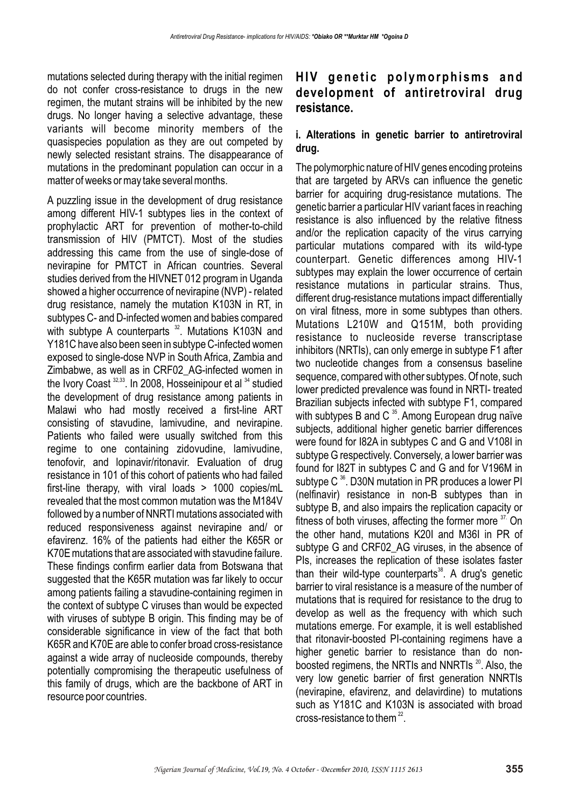mutations selected during therapy with the initial regimen do not confer cross-resistance to drugs in the new regimen, the mutant strains will be inhibited by the new drugs. No longer having a selective advantage, these variants will become minority members of the quasispecies population as they are out competed by newly selected resistant strains. The disappearance of mutations in the predominant population can occur in a matter of weeks or may take several months.

A puzzling issue in the development of drug resistance among different HIV-1 subtypes lies in the context of prophylactic ART for prevention of mother-to-child transmission of HIV (PMTCT). Most of the studies addressing this came from the use of single-dose of nevirapine for PMTCT in African countries. Several studies derived from the HIVNET 012 program in Uganda showed a higher occurrence of nevirapine (NVP) - related drug resistance, namely the mutation K103N in RT, in subtypes C- and D-infected women and babies compared with subtype A counterparts  $32$ . Mutations K103N and Y181C have also been seen in subtype C-infected women exposed to single-dose NVP in South Africa, Zambia and Zimbabwe, as well as in CRF02\_AG-infected women in the Ivory Coast  $32,33$ . In 2008, Hosseinipour et al  $34$  studied the development of drug resistance among patients in Malawi who had mostly received a first-line ART consisting of stavudine, lamivudine, and nevirapine. Patients who failed were usually switched from this regime to one containing zidovudine, lamivudine, tenofovir, and lopinavir/ritonavir. Evaluation of drug resistance in 101 of this cohort of patients who had failed first-line therapy, with viral loads > 1000 copies/mL revealed that the most common mutation was the M184V followed by a number of NNRTI mutations associated with reduced responsiveness against nevirapine and/ or efavirenz. 16% of the patients had either the K65R or K70E mutations that are associated with stavudine failure. These findings confirm earlier data from Botswana that suggested that the K65R mutation was far likely to occur among patients failing a stavudine-containing regimen in the context of subtype C viruses than would be expected with viruses of subtype B origin. This finding may be of considerable significance in view of the fact that both K65R and K70E are able to confer broad cross-resistance against a wide array of nucleoside compounds, thereby potentially compromising the therapeutic usefulness of this family of drugs, which are the backbone of ART in resource poor countries.

# **HIV genetic polymorphisms and development of antiretroviral drug resistance.**

#### **i. Alterations in genetic barrier to antiretroviral drug.**

The polymorphic nature of HIV genes encoding proteins that are targeted by ARVs can influence the genetic barrier for acquiring drug-resistance mutations. The genetic barrier a particular HIV variant faces in reaching resistance is also influenced by the relative fitness and/or the replication capacity of the virus carrying particular mutations compared with its wild-type counterpart. Genetic differences among HIV-1 subtypes may explain the lower occurrence of certain resistance mutations in particular strains. Thus, different drug-resistance mutations impact differentially on viral fitness, more in some subtypes than others. Mutations L210W and Q151M, both providing resistance to nucleoside reverse transcriptase inhibitors (NRTIs), can only emerge in subtype F1 after two nucleotide changes from a consensus baseline sequence, compared with other subtypes. Of note, such lower predicted prevalence was found in NRTI- treated Brazilian subjects infected with subtype F1, compared with subtypes B and C  $35$ . Among European drug naïve subjects, additional higher genetic barrier differences were found for I82A in subtypes C and G and V108I in subtype G respectively. Conversely, a lower barrier was found for I82T in subtypes C and G and for V196M in subtype C $36$ . D30N mutation in PR produces a lower PI (nelfinavir) resistance in non-B subtypes than in subtype B, and also impairs the replication capacity or fitness of both viruses, affecting the former more  $37$ . On the other hand, mutations K20I and M36I in PR of subtype G and CRF02\_AG viruses, in the absence of PIs, increases the replication of these isolates faster than their wild-type counterparts $38$ . A drug's genetic barrier to viral resistance is a measure of the number of mutations that is required for resistance to the drug to develop as well as the frequency with which such mutations emerge. For example, it is well established that ritonavir-boosted PI-containing regimens have a higher genetic barrier to resistance than do nonboosted regimens, the NRTIs and NNRTIs  $20$ . Also, the very low genetic barrier of first generation NNRTIs (nevirapine, efavirenz, and delavirdine) to mutations such as Y181C and K103N is associated with broad cross-resistance to them  $22$ .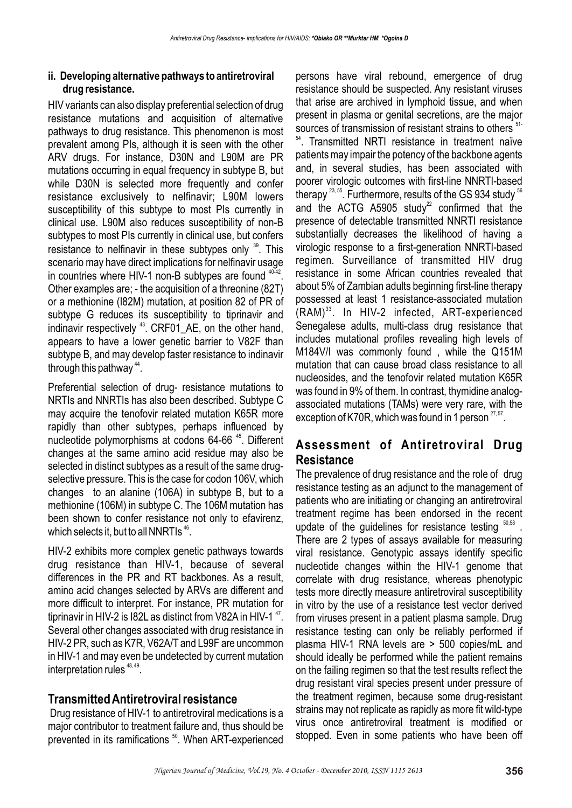#### **ii. Developing alternative pathways to antiretroviral drug resistance.**

HIV variants can also display preferential selection of drug resistance mutations and acquisition of alternative pathways to drug resistance. This phenomenon is most prevalent among PIs, although it is seen with the other ARV drugs. For instance, D30N and L90M are PR mutations occurring in equal frequency in subtype B, but while D30N is selected more frequently and confer resistance exclusively to nelfinavir; L90M lowers susceptibility of this subtype to most PIs currently in clinical use. L90M also reduces susceptibility of non-B subtypes to most PIs currently in clinical use, but confers resistance to nelfinavir in these subtypes only <sup>39</sup>. This scenario may have direct implications for nelfinavir usage in countries where HIV-1 non-B subtypes are found  $4042$ . Other examples are; - the acquisition of a threonine (82T) or a methionine (I82M) mutation, at position 82 of PR of subtype G reduces its susceptibility to tiprinavir and indinavir respectively <sup>43</sup>. CRF01\_AE, on the other hand, appears to have a lower genetic barrier to V82F than subtype B, and may develop faster resistance to indinavir through this pathway  $44$ .

Preferential selection of drug- resistance mutations to NRTIs and NNRTIs has also been described. Subtype C may acquire the tenofovir related mutation K65R more rapidly than other subtypes, perhaps influenced by nucleotide polymorphisms at codons 64-66<sup>45</sup>. Different changes at the same amino acid residue may also be selected in distinct subtypes as a result of the same drugselective pressure. This is the case for codon 106V, which changes to an alanine (106A) in subtype B, but to a methionine (106M) in subtype C. The 106M mutation has been shown to confer resistance not only to efavirenz, which selects it, but to all NNRTIs  $46$ .

HIV-2 exhibits more complex genetic pathways towards drug resistance than HIV-1, because of several differences in the PR and RT backbones. As a result, amino acid changes selected by ARVs are different and more difficult to interpret. For instance, PR mutation for tiprinavir in HIV-2 is I82L as distinct from V82A in HIV-1 $^{47}$ . Several other changes associated with drug resistance in HIV-2 PR, such as K7R, V62A/T and L99F are uncommon in HIV-1 and may even be undetected by current mutation interpretation rules  $48,49$ .

### **Transmitted Antiretroviral resistance**

Drug resistance of HIV-1 to antiretroviral medications is a major contributor to treatment failure and, thus should be prevented in its ramifications<sup>50</sup>. When ART-experienced

persons have viral rebound, emergence of drug resistance should be suspected. Any resistant viruses that arise are archived in lymphoid tissue, and when present in plasma or genital secretions, are the major sources of transmission of resistant strains to others <sup>51-</sup> <sup>54</sup>. Transmitted NRTI resistance in treatment naïve patients may impair the potency of the backbone agents and, in several studies, has been associated with poorer virologic outcomes with first-line NNRTI-based therapy  $^{23, 55}$ . Furthermore, results of the GS 934 study  $^{56}$ and the ACTG A5905 study<sup>22</sup> confirmed that the presence of detectable transmitted NNRTI resistance substantially decreases the likelihood of having a virologic response to a first-generation NNRTI-based regimen. Surveillance of transmitted HIV drug resistance in some African countries revealed that about 5% of Zambian adults beginning first-line therapy possessed at least 1 resistance-associated mutation  $(RAM)<sup>33</sup>$ . In HIV-2 infected, ART-experienced Senegalese adults, multi-class drug resistance that includes mutational profiles revealing high levels of M184V/I was commonly found , while the Q151M mutation that can cause broad class resistance to all nucleosides, and the tenofovir related mutation K65R was found in 9% of them. In contrast, thymidine analogassociated mutations (TAMs) were very rare, with the exception of K70R, which was found in 1 person  $27,57$ .

## **Assessment of Antiretroviral Drug Resistance**

The prevalence of drug resistance and the role of drug resistance testing as an adjunct to the management of patients who are initiating or changing an antiretroviral treatment regime has been endorsed in the recent update of the quidelines for resistance testing  $50,58$ . There are 2 types of assays available for measuring viral resistance. Genotypic assays identify specific nucleotide changes within the HIV-1 genome that correlate with drug resistance, whereas phenotypic tests more directly measure antiretroviral susceptibility in vitro by the use of a resistance test vector derived from viruses present in a patient plasma sample. Drug resistance testing can only be reliably performed if plasma HIV-1 RNA levels are > 500 copies/mL and should ideally be performed while the patient remains on the failing regimen so that the test results reflect the drug resistant viral species present under pressure of the treatment regimen, because some drug-resistant strains may not replicate as rapidly as more fit wild-type virus once antiretroviral treatment is modified or stopped. Even in some patients who have been off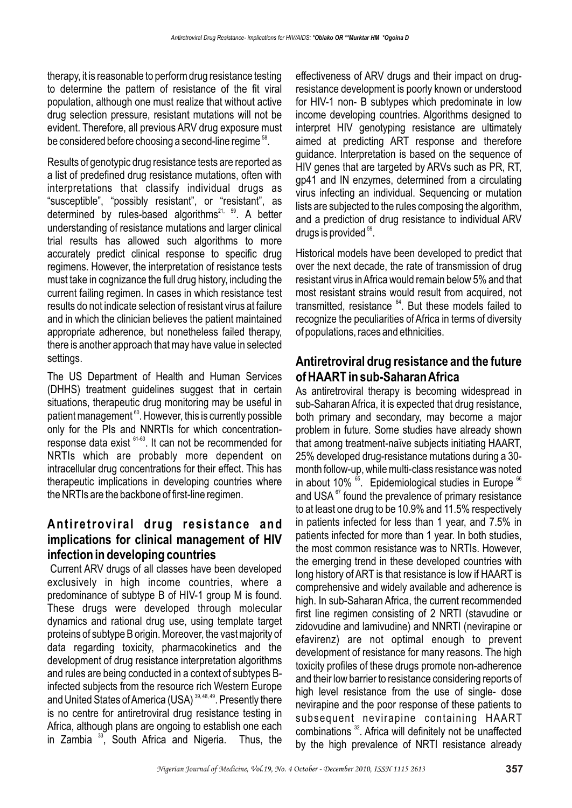therapy, it is reasonable to perform drug resistance testing to determine the pattern of resistance of the fit viral population, although one must realize that without active drug selection pressure, resistant mutations will not be evident. Therefore, all previous ARV drug exposure must be considered before choosing a second-line regime <sup>58</sup>.

Results of genotypic drug resistance tests are reported as a list of predefined drug resistance mutations, often with interpretations that classify individual drugs as "susceptible", "possibly resistant", or "resistant", as determined by rules-based algorithms<sup>21, 59</sup>. A better understanding of resistance mutations and larger clinical trial results has allowed such algorithms to more accurately predict clinical response to specific drug regimens. However, the interpretation of resistance tests must take in cognizance the full drug history, including the current failing regimen. In cases in which resistance test results do not indicate selection of resistant virus at failure and in which the clinician believes the patient maintained appropriate adherence, but nonetheless failed therapy, there is another approach that may have value in selected settings.

The US Department of Health and Human Services (DHHS) treatment guidelines suggest that in certain situations, therapeutic drug monitoring may be useful in patient management  $60$ . However, this is currently possible only for the PIs and NNRTIs for which concentrationresponse data exist  $61-63$ . It can not be recommended for NRTIs which are probably more dependent on intracellular drug concentrations for their effect. This has therapeutic implications in developing countries where the NRTIs are the backbone of first-line regimen.

## **Antiretroviral drug resistance and implications for clinical management of HIV infection in developing countries**

Current ARV drugs of all classes have been developed exclusively in high income countries, where a predominance of subtype B of HIV-1 group M is found. These drugs were developed through molecular dynamics and rational drug use, using template target proteins of subtype B origin. Moreover, the vast majority of data regarding toxicity, pharmacokinetics and the development of drug resistance interpretation algorithms and rules are being conducted in a context of subtypes Binfected subjects from the resource rich Western Europe and United States of America (USA)<sup>39, 48, 49</sup>. Presently there is no centre for antiretroviral drug resistance testing in Africa, although plans are ongoing to establish one each in Zambia  $33$ , South Africa and Nigeria. Thus, the

effectiveness of ARV drugs and their impact on drugresistance development is poorly known or understood for HIV-1 non- B subtypes which predominate in low income developing countries. Algorithms designed to interpret HIV genotyping resistance are ultimately aimed at predicting ART response and therefore guidance. Interpretation is based on the sequence of HIV genes that are targeted by ARVs such as PR, RT, gp41 and IN enzymes, determined from a circulating virus infecting an individual. Sequencing or mutation lists are subjected to the rules composing the algorithm, and a prediction of drug resistance to individual ARV drugs is provided  $59$ .

Historical models have been developed to predict that over the next decade, the rate of transmission of drug resistant virus in Africa would remain below 5% and that most resistant strains would result from acquired, not transmitted, resistance  $64$ . But these models failed to recognize the peculiarities of Africa in terms of diversity of populations, races and ethnicities.

### **Antiretroviral drug resistance and the future of HAART in sub-Saharan Africa**

As antiretroviral therapy is becoming widespread in sub-Saharan Africa, it is expected that drug resistance, both primary and secondary, may become a major problem in future. Some studies have already shown that among treatment-naïve subjects initiating HAART, 25% developed drug-resistance mutations during a 30 month follow-up, while multi-class resistance was noted in about 10%  $\mathrm{^{65}}$ . Epidemiological studies in Europe  $\mathrm{^{66}}$ and USA $\mathrm{^{67}}$  found the prevalence of primary resistance to at least one drug to be 10.9% and 11.5% respectively in patients infected for less than 1 year, and 7.5% in patients infected for more than 1 year. In both studies, the most common resistance was to NRTIs. However, the emerging trend in these developed countries with long history of ART is that resistance is low if HAART is comprehensive and widely available and adherence is high. In sub-Saharan Africa, the current recommended first line regimen consisting of 2 NRTI (stavudine or zidovudine and lamivudine) and NNRTI (nevirapine or efavirenz) are not optimal enough to prevent development of resistance for many reasons. The high toxicity profiles of these drugs promote non-adherence and their low barrier to resistance considering reports of high level resistance from the use of single- dose nevirapine and the poor response of these patients to subsequent nevirapine containing HAART combinations  $32$ . Africa will definitely not be unaffected by the high prevalence of NRTI resistance already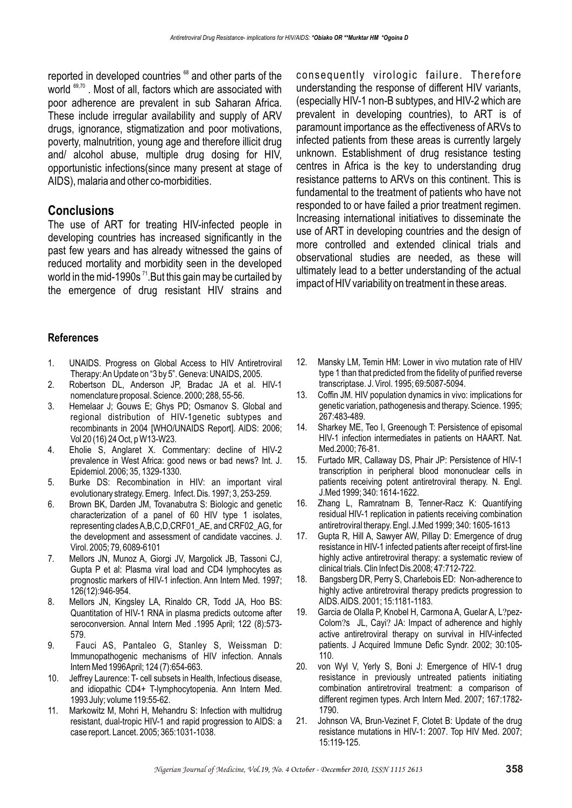reported in developed countries <sup>68</sup> and other parts of the world  $69,70$ . Most of all, factors which are associated with poor adherence are prevalent in sub Saharan Africa. These include irregular availability and supply of ARV drugs, ignorance, stigmatization and poor motivations, poverty, malnutrition, young age and therefore illicit drug and/ alcohol abuse, multiple drug dosing for HIV, opportunistic infections(since many present at stage of AIDS), malaria and other co-morbidities.

### **Conclusions**

The use of ART for treating HIV-infected people in developing countries has increased significantly in the past few years and has already witnessed the gains of reduced mortality and morbidity seen in the developed world in the mid-1990s  $<sup>71</sup>$ . But this gain may be curtailed by</sup> the emergence of drug resistant HIV strains and consequently virologic failure. Therefore understanding the response of different HIV variants, (especially HIV-1 non-B subtypes, and HIV-2 which are prevalent in developing countries), to ART is of paramount importance as the effectiveness of ARVs to infected patients from these areas is currently largely unknown. Establishment of drug resistance testing centres in Africa is the key to understanding drug resistance patterns to ARVs on this continent. This is fundamental to the treatment of patients who have not responded to or have failed a prior treatment regimen. Increasing international initiatives to disseminate the use of ART in developing countries and the design of more controlled and extended clinical trials and observational studies are needed, as these will ultimately lead to a better understanding of the actual impact of HIV variability on treatment in these areas.

#### **References**

- 1. UNAIDS. Progress on Global Access to HIV Antiretroviral Therapy: An Update on "3 by 5". Geneva: UNAIDS, 2005.
- 2. Robertson DL, Anderson JP, Bradac JA et al. HIV-1 nomenclature proposal. Science. 2000; 288, 55-56.
- 3. Hemelaar J; Gouws E; Ghys PD; Osmanov S. Global and regional distribution of HIV-1genetic subtypes and recombinants in 2004 [WHO/UNAIDS Report]. AIDS: 2006; Vol 20 (16) 24 Oct, p W13-W23.
- 4. Eholie S, Anglaret X. Commentary: decline of HIV-2 prevalence in West Africa: good news or bad news? Int. J. Epidemiol. 2006; 35, 1329-1330.
- 5. Burke DS: Recombination in HIV: an important viral evolutionary strategy. Emerg. Infect. Dis. 1997; 3, 253-259.
- 6. Brown BK, Darden JM, Tovanabutra S: Biologic and genetic characterization of a panel of 60 HIV type 1 isolates, representing clades A,B,C,D,CRF01\_AE, and CRF02\_AG, for the development and assessment of candidate vaccines. J. Virol. 2005; 79, 6089-6101
- 7. Mellors JN, Munoz A, Giorgi JV, Margolick JB, Tassoni CJ, Gupta P et al: Plasma viral load and CD4 lymphocytes as prognostic markers of HIV-1 infection. Ann Intern Med. 1997; 126(12):946-954.
- 8. Mellors JN, Kingsley LA, Rinaldo CR, Todd JA, Hoo BS: Quantitation of HIV-1 RNA in plasma predicts outcome after seroconversion. Annal Intern Med .1995 April; 122 (8):573- 579.
- 9. Fauci AS, Pantaleo G, Stanley S, Weissman D: Immunopathogenic mechanisms of HIV infection. Annals Intern Med 1996April; 124 (7):654-663.
- 10. Jeffrey Laurence: T- cell subsets in Health, Infectious disease, and idiopathic CD4+ T-lymphocytopenia. Ann Intern Med. 1993 July; volume 119:55-62.
- 11. Markowitz M, Mohri H, Mehandru S: Infection with multidrug resistant, dual-tropic HIV-1 and rapid progression to AIDS: a case report. Lancet. 2005; 365:1031-1038.
- 12. Mansky LM, Temin HM: Lower in vivo mutation rate of HIV type 1 than that predicted from the fidelity of purified reverse transcriptase. J. Virol. 1995; 69:5087-5094.
- 13. Coffin JM. HIV population dynamics in vivo: implications for genetic variation, pathogenesis and therapy. Science. 1995; 267:483-489.
- 14. Sharkey ME, Teo I, Greenough T: Persistence of episomal HIV-1 infection intermediates in patients on HAART. Nat. Med.2000; 76-81.
- 15. Furtado MR, Callaway DS, Phair JP: Persistence of HIV-1 transcription in peripheral blood mononuclear cells in patients receiving potent antiretroviral therapy. N. Engl. J.Med 1999; 340: 1614-1622.
- 16. Zhang L, Ramratnam B, Tenner-Racz K: Quantifying residual HIV-1 replication in patients receiving combination antiretroviral therapy. Engl. J.Med 1999; 340: 1605-1613
- 17. Gupta R, Hill A, Sawyer AW, Pillay D: Emergence of drug resistance in HIV-1 infected patients after receipt of first-line highly active antiretroviral therapy: a systematic review of clinical trials. Clin Infect Dis.2008; 47:712-722.
- 18. Bangsberg DR, Perry S, Charlebois ED: Non-adherence to highly active antiretroviral therapy predicts progression to AIDS. AIDS. 2001; 15:1181-1183.
- 19. Garcia de Olalla P, Knobel H, Carmona A, Guelar A, L?pez-Colom?s JL, Cayi? JA: Impact of adherence and highly active antiretroviral therapy on survival in HIV-infected patients. J Acquired Immune Defic Syndr. 2002; 30:105- 110.
- 20. von Wyl V, Yerly S, Boni J: Emergence of HIV-1 drug resistance in previously untreated patients initiating combination antiretroviral treatment: a comparison of different regimen types. Arch Intern Med. 2007; 167:1782- 1790.
- 21. Johnson VA, Brun-Vezinet F, Clotet B: Update of the drug resistance mutations in HIV-1: 2007. Top HIV Med. 2007; 15:119-125.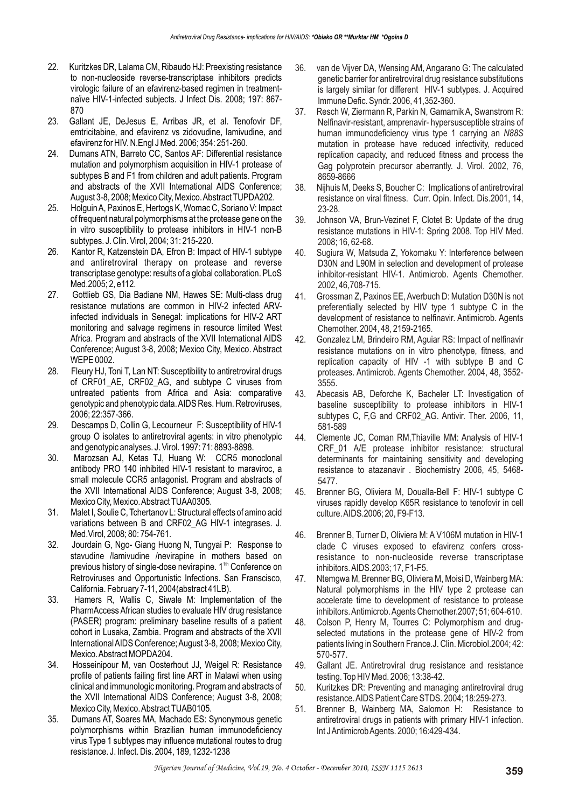- 22. Kuritzkes DR, Lalama CM, Ribaudo HJ: Preexisting resistance to non-nucleoside reverse-transcriptase inhibitors predicts virologic failure of an efavirenz-based regimen in treatmentnaïve HIV-1-infected subjects. J Infect Dis. 2008; 197: 867- 870
- 23. Gallant JE, DeJesus E, Arribas JR, et al. Tenofovir DF, emtricitabine, and efavirenz vs zidovudine, lamivudine, and efavirenz for HIV. N.Engl J Med. 2006; 354: 251-260.
- 24. Dumans ATN, Barreto CC, Santos AF: Differential resistance mutation and polymorphism acquisition in HIV-1 protease of subtypes B and F1 from children and adult patients. Program and abstracts of the XVII International AIDS Conference; August 3-8, 2008; Mexico City, Mexico. Abstract TUPDA202.
- 25. Holguin A, Paxinos E, Hertogs K, Womac C, Soriano V: Impact of frequent natural polymorphisms at the protease gene on the in vitro susceptibility to protease inhibitors in HIV-1 non-B subtypes. J. Clin. Virol, 2004; 31: 215-220.
- 26. Kantor R, Katzenstein DA, Efron B: Impact of HIV-1 subtype and antiretroviral therapy on protease and reverse transcriptase genotype: results of a global collaboration. PLoS Med.2005; 2, e112.
- 27. Gottlieb GS, Dia Badiane NM, Hawes SE: Multi-class drug resistance mutations are common in HIV-2 infected ARVinfected individuals in Senegal: implications for HIV-2 ART monitoring and salvage regimens in resource limited West Africa. Program and abstracts of the XVII International AIDS Conference; August 3-8, 2008; Mexico City, Mexico. Abstract WEPE 0002.
- 28. Fleury HJ, Toni T, Lan NT: Susceptibility to antiretroviral drugs of CRF01\_AE, CRF02\_AG, and subtype C viruses from untreated patients from Africa and Asia: comparative genotypic and phenotypic data. AIDS Res. Hum. Retroviruses, 2006; 22:357-366.
- 29. Descamps D, Collin G, Lecourneur F: Susceptibility of HIV-1 group O isolates to antiretroviral agents: in vitro phenotypic and genotypic analyses. J. Virol. 1997: 71: 8893-8898.
- 30. Marozsan AJ, Ketas TJ, Huang W: CCR5 monoclonal antibody PRO 140 inhibited HIV-1 resistant to maraviroc, a small molecule CCR5 antagonist. Program and abstracts of the XVII International AIDS Conference; August 3-8, 2008; Mexico City, Mexico. Abstract TUAA0305.
- 31. Malet I, Soulie C, Tchertanov L: Structural effects of amino acid variations between B and CRF02\_AG HIV-1 integrases. J. Med.Virol, 2008; 80: 754-761.
- 32. Jourdain G, Ngo- Giang Huong N, Tungyai P: Response to stavudine /lamivudine /nevirapine in mothers based on previous history of single-dose nevirapine. 1<sup>th</sup> Conference on Retroviruses and Opportunistic Infections. San Franscisco, California. February 7-11, 2004(abstract 41LB).
- 33. Hamers R, Wallis C, Siwale M: Implementation of the PharmAccess African studies to evaluate HIV drug resistance (PASER) program: preliminary baseline results of a patient cohort in Lusaka, Zambia. Program and abstracts of the XVII International AIDS Conference; August 3-8, 2008; Mexico City, Mexico. Abstract MOPDA204.
- 34. Hosseinipour M, van Oosterhout JJ, Weigel R: Resistance profile of patients failing first line ART in Malawi when using clinical and immunologic monitoring. Program and abstracts of the XVII International AIDS Conference; August 3-8, 2008; Mexico City, Mexico. Abstract TUAB0105.
- 35. Dumans AT, Soares MA, Machado ES: Synonymous genetic polymorphisms within Brazilian human immunodeficiency virus Type 1 subtypes may influence mutational routes to drug resistance. J. Infect. Dis. 2004, 189, 1232-1238
- 36. van de Vijver DA, Wensing AM, Angarano G: The calculated genetic barrier for antiretroviral drug resistance substitutions is largely similar for different HIV-1 subtypes. J. Acquired Immune Defic. Syndr. 2006, 41,352-360.
- 37. Resch W, Ziermann R, Parkin N, Gamarnik A, Swanstrom R: Nelfinavir-resistant, amprenavir- hypersusceptible strains of human immunodeficiency virus type 1 carrying an *N88S* mutation in protease have reduced infectivity, reduced replication capacity, and reduced fitness and process the Gag polyprotein precursor aberrantly. J. Virol. 2002, 76, 8659-8666
- 38. Nijhuis M, Deeks S, Boucher C: Implications of antiretroviral resistance on viral fitness. Curr. Opin. Infect. Dis.2001, 14, 23-28.
- 39. Johnson VA, Brun-Vezinet F, Clotet B: Update of the drug resistance mutations in HIV-1: Spring 2008. Top HIV Med. 2008; 16, 62-68.
- 40. Sugiura W, Matsuda Z, Yokomaku Y: Interference between D30N and L90M in selection and development of protease inhibitor-resistant HIV-1. Antimicrob. Agents Chemother. 2002, 46,708-715.
- 41. Grossman Z, Paxinos EE, Averbuch D: Mutation D30N is not preferentially selected by HIV type 1 subtype C in the development of resistance to nelfinavir. Antimicrob. Agents Chemother. 2004, 48, 2159-2165.
- 42. Gonzalez LM, Brindeiro RM, Aguiar RS: Impact of nelfinavir resistance mutations on in vitro phenotype, fitness, and replication capacity of HIV -1 with subtype B and C proteases. Antimicrob. Agents Chemother. 2004, 48, 3552- 3555.
- 43. Abecasis AB, Deforche K, Bacheler LT: Investigation of baseline susceptibility to protease inhibitors in HIV-1 subtypes C, F,G and CRF02, AG, Antivir. Ther. 2006, 11, 581-589
- 44. Clemente JC, Coman RM,Thiaville MM: Analysis of HIV-1 CRF 01 A/E protease inhibitor resistance: structural determinants for maintaining sensitivity and developing resistance to atazanavir . Biochemistry 2006, 45, 5468- 5477.
- 45. Brenner BG, Oliviera M, Doualla-Bell F: HIV-1 subtype C viruses rapidly develop K65R resistance to tenofovir in cell culture. AIDS.2006; 20, F9-F13.
- 46. Brenner B, Turner D, Oliviera M: A V106M mutation in HIV-1 clade C viruses exposed to efavirenz confers crossresistance to non-nucleoside reverse transcriptase inhibitors. AIDS.2003; 17, F1-F5.
- 47. Ntemgwa M, Brenner BG, Oliviera M, Moisi D, Wainberg MA: Natural polymorphisms in the HIV type 2 protease can accelerate time to development of resistance to protease inhibitors. Antimicrob. Agents Chemother.2007; 51; 604-610.
- 48. Colson P, Henry M, Tourres C: Polymorphism and drugselected mutations in the protease gene of HIV-2 from patients living in Southern France.J. Clin. Microbiol.2004; 42: 570-577.
- 49. Gallant JE. Antiretroviral drug resistance and resistance testing. Top HIV Med. 2006; 13:38-42.
- 50. Kuritzkes DR: Preventing and managing antiretroviral drug resistance. AIDS Patient Care STDS. 2004; 18:259-273.
- 51. Brenner B, Wainberg MA, Salomon H: Resistance to antiretroviral drugs in patients with primary HIV-1 infection. Int J Antimicrob Agents. 2000; 16:429-434.